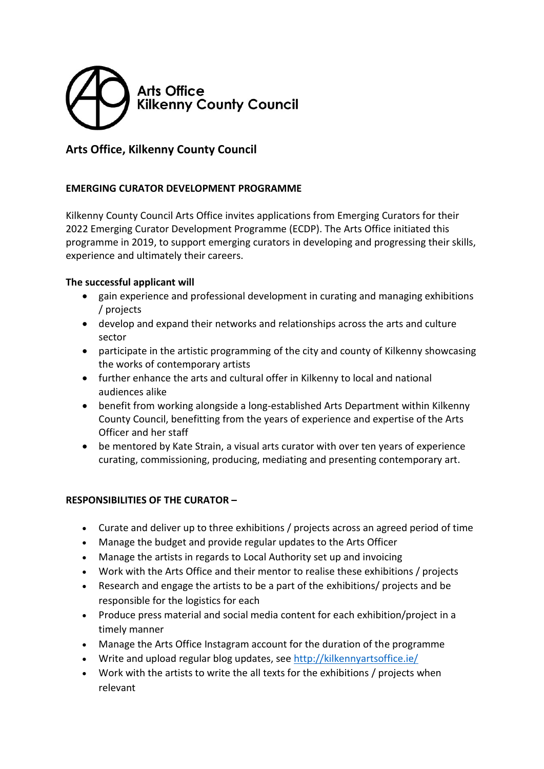

## **Arts Office, Kilkenny County Council**

## **EMERGING CURATOR DEVELOPMENT PROGRAMME**

Kilkenny County Council Arts Office invites applications from Emerging Curators for their 2022 Emerging Curator Development Programme (ECDP). The Arts Office initiated this programme in 2019, to support emerging curators in developing and progressing their skills, experience and ultimately their careers.

## **The successful applicant will**

- gain experience and professional development in curating and managing exhibitions / projects
- develop and expand their networks and relationships across the arts and culture sector
- participate in the artistic programming of the city and county of Kilkenny showcasing the works of contemporary artists
- further enhance the arts and cultural offer in Kilkenny to local and national audiences alike
- benefit from working alongside a long-established Arts Department within Kilkenny County Council, benefitting from the years of experience and expertise of the Arts Officer and her staff
- be mentored by Kate Strain, a visual arts curator with over ten years of experience curating, commissioning, producing, mediating and presenting contemporary art.

## **RESPONSIBILITIES OF THE CURATOR –**

- Curate and deliver up to three exhibitions / projects across an agreed period of time
- Manage the budget and provide regular updates to the Arts Officer
- Manage the artists in regards to Local Authority set up and invoicing
- Work with the Arts Office and their mentor to realise these exhibitions / projects
- Research and engage the artists to be a part of the exhibitions/ projects and be responsible for the logistics for each
- Produce press material and social media content for each exhibition/project in a timely manner
- Manage the Arts Office Instagram account for the duration of the programme
- Write and upload regular blog updates, see<http://kilkennyartsoffice.ie/>
- Work with the artists to write the all texts for the exhibitions / projects when relevant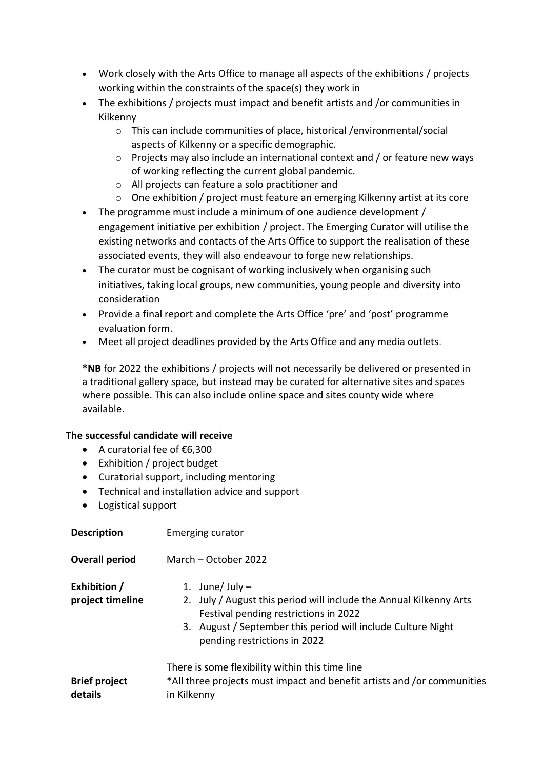- Work closely with the Arts Office to manage all aspects of the exhibitions / projects working within the constraints of the space(s) they work in
- The exhibitions / projects must impact and benefit artists and /or communities in Kilkenny
	- o This can include communities of place, historical /environmental/social aspects of Kilkenny or a specific demographic.
	- o Projects may also include an international context and / or feature new ways of working reflecting the current global pandemic.
	- o All projects can feature a solo practitioner and
	- o One exhibition / project must feature an emerging Kilkenny artist at its core
- The programme must include a minimum of one audience development / engagement initiative per exhibition / project. The Emerging Curator will utilise the existing networks and contacts of the Arts Office to support the realisation of these associated events, they will also endeavour to forge new relationships.
- The curator must be cognisant of working inclusively when organising such initiatives, taking local groups, new communities, young people and diversity into consideration
- Provide a final report and complete the Arts Office 'pre' and 'post' programme evaluation form.
- Meet all project deadlines provided by the Arts Office and any media outlets.

**\*NB** for 2022 the exhibitions / projects will not necessarily be delivered or presented in a traditional gallery space, but instead may be curated for alternative sites and spaces where possible. This can also include online space and sites county wide where available.

#### **The successful candidate will receive**

- A curatorial fee of €6,300
- Exhibition / project budget
- Curatorial support, including mentoring
- Technical and installation advice and support
- Logistical support

| <b>Description</b>               | Emerging curator                                                                                                                                                                                                                 |
|----------------------------------|----------------------------------------------------------------------------------------------------------------------------------------------------------------------------------------------------------------------------------|
| <b>Overall period</b>            | March - October 2022                                                                                                                                                                                                             |
| Exhibition /<br>project timeline | 1. June/ July $-$<br>2. July / August this period will include the Annual Kilkenny Arts<br>Festival pending restrictions in 2022<br>3. August / September this period will include Culture Night<br>pending restrictions in 2022 |
|                                  | There is some flexibility within this time line                                                                                                                                                                                  |
| <b>Brief project</b><br>details  | *All three projects must impact and benefit artists and /or communities<br>in Kilkenny                                                                                                                                           |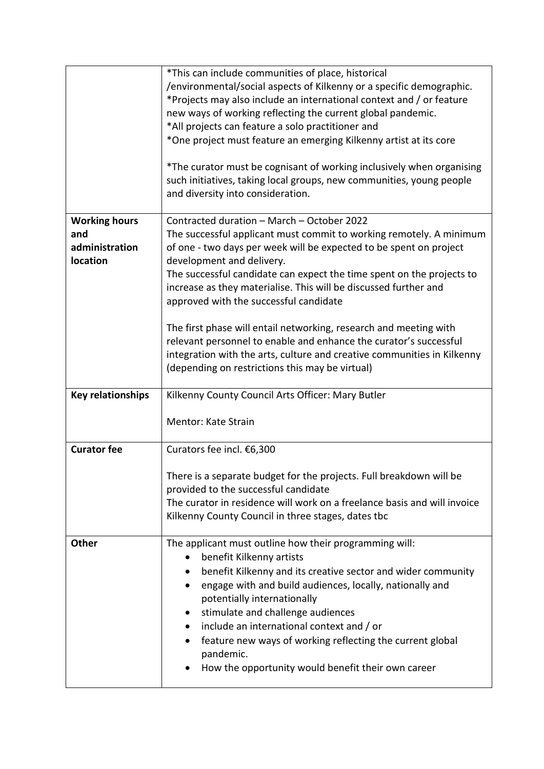|                          | *This can include communities of place, historical                                                                                                                                 |
|--------------------------|------------------------------------------------------------------------------------------------------------------------------------------------------------------------------------|
|                          | /environmental/social aspects of Kilkenny or a specific demographic.                                                                                                               |
|                          | *Projects may also include an international context and / or feature                                                                                                               |
|                          | new ways of working reflecting the current global pandemic.                                                                                                                        |
|                          | *All projects can feature a solo practitioner and                                                                                                                                  |
|                          | *One project must feature an emerging Kilkenny artist at its core                                                                                                                  |
|                          |                                                                                                                                                                                    |
|                          | *The curator must be cognisant of working inclusively when organising<br>such initiatives, taking local groups, new communities, young people<br>and diversity into consideration. |
| <b>Working hours</b>     | Contracted duration - March - October 2022                                                                                                                                         |
| and                      | The successful applicant must commit to working remotely. A minimum                                                                                                                |
| administration           | of one - two days per week will be expected to be spent on project                                                                                                                 |
| location                 | development and delivery.                                                                                                                                                          |
|                          | The successful candidate can expect the time spent on the projects to                                                                                                              |
|                          | increase as they materialise. This will be discussed further and                                                                                                                   |
|                          |                                                                                                                                                                                    |
|                          | approved with the successful candidate                                                                                                                                             |
|                          |                                                                                                                                                                                    |
|                          | The first phase will entail networking, research and meeting with                                                                                                                  |
|                          | relevant personnel to enable and enhance the curator's successful                                                                                                                  |
|                          | integration with the arts, culture and creative communities in Kilkenny                                                                                                            |
|                          | (depending on restrictions this may be virtual)                                                                                                                                    |
| <b>Key relationships</b> | Kilkenny County Council Arts Officer: Mary Butler                                                                                                                                  |
|                          |                                                                                                                                                                                    |
|                          | Mentor: Kate Strain                                                                                                                                                                |
|                          |                                                                                                                                                                                    |
| <b>Curator fee</b>       | Curators fee incl. €6,300                                                                                                                                                          |
|                          |                                                                                                                                                                                    |
|                          | There is a separate budget for the projects. Full breakdown will be                                                                                                                |
|                          | provided to the successful candidate                                                                                                                                               |
|                          | The curator in residence will work on a freelance basis and will invoice                                                                                                           |
|                          | Kilkenny County Council in three stages, dates tbc                                                                                                                                 |
|                          |                                                                                                                                                                                    |
| Other                    | The applicant must outline how their programming will:                                                                                                                             |
|                          | benefit Kilkenny artists                                                                                                                                                           |
|                          |                                                                                                                                                                                    |
|                          |                                                                                                                                                                                    |
|                          | benefit Kilkenny and its creative sector and wider community                                                                                                                       |
|                          | engage with and build audiences, locally, nationally and                                                                                                                           |
|                          | potentially internationally                                                                                                                                                        |
|                          | stimulate and challenge audiences                                                                                                                                                  |
|                          | include an international context and / or                                                                                                                                          |
|                          | feature new ways of working reflecting the current global                                                                                                                          |
|                          | pandemic.                                                                                                                                                                          |
|                          | How the opportunity would benefit their own career                                                                                                                                 |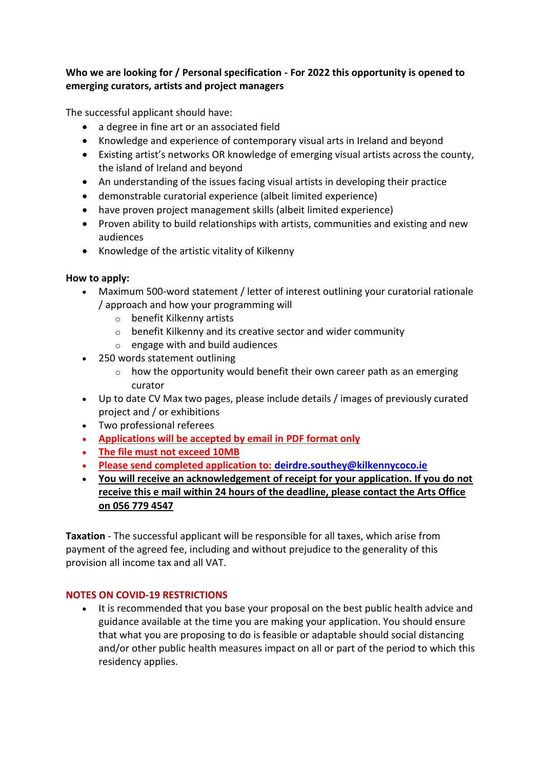## **Who we are looking for / Personal specification - For 2022 this opportunity is opened to emerging curators, artists and project managers**

The successful applicant should have:

- a degree in fine art or an associated field
- Knowledge and experience of contemporary visual arts in Ireland and beyond
- Existing artist's networks OR knowledge of emerging visual artists across the county, the island of Ireland and beyond
- An understanding of the issues facing visual artists in developing their practice
- demonstrable curatorial experience (albeit limited experience)
- have proven project management skills (albeit limited experience)
- Proven ability to build relationships with artists, communities and existing and new audiences
- Knowledge of the artistic vitality of Kilkenny

## **How to apply:**

- Maximum 500-word statement / letter of interest outlining your curatorial rationale / approach and how your programming will
	- o benefit Kilkenny artists
	- o benefit Kilkenny and its creative sector and wider community
	- $\circ$  engage with and build audiences
- 250 words statement outlining
	- $\circ$  how the opportunity would benefit their own career path as an emerging curator
- Up to date CV Max two pages, please include details / images of previously curated project and / or exhibitions
- Two professional referees
- **Applications will be accepted by email in PDF format only**
- **The file must not exceed 10MB**
- **Please send completed application to: [deirdre.southey@kilkennycoco.ie](mailto:deirdre.southey@kilkennycoco.ie)**
- **You will receive an acknowledgement of receipt for your application. If you do not receive this e mail within 24 hours of the deadline, please contact the Arts Office on 056 779 4547**

**Taxation** - The successful applicant will be responsible for all taxes, which arise from payment of the agreed fee, including and without prejudice to the generality of this provision all income tax and all VAT.

## **NOTES ON COVID-19 RESTRICTIONS**

• It is recommended that you base your proposal on the best public health advice and guidance available at the time you are making your application. You should ensure that what you are proposing to do is feasible or adaptable should social distancing and/or other public health measures impact on all or part of the period to which this residency applies.